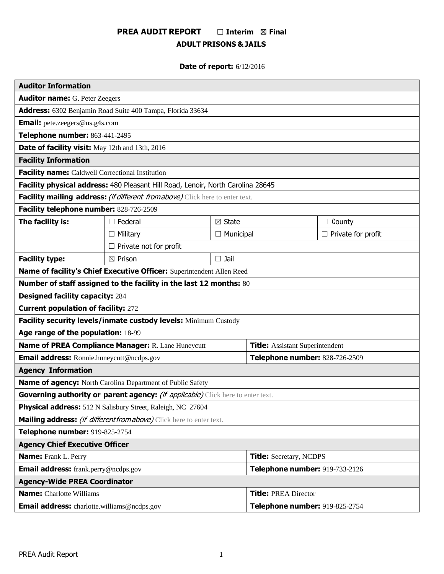# **PREA AUDIT REPORT** ☐ **Interim** ☒ **Final ADULT PRISONS & JAILS**

# **Date of report:** 6/12/2016

| <b>Auditor Information</b>                                                           |                               |                                |                                        |                           |
|--------------------------------------------------------------------------------------|-------------------------------|--------------------------------|----------------------------------------|---------------------------|
| <b>Auditor name:</b> G. Peter Zeegers                                                |                               |                                |                                        |                           |
| Address: 6302 Benjamin Road Suite 400 Tampa, Florida 33634                           |                               |                                |                                        |                           |
| <b>Email:</b> pete.zeegers@us.g4s.com                                                |                               |                                |                                        |                           |
| Telephone number: 863-441-2495                                                       |                               |                                |                                        |                           |
| Date of facility visit: May 12th and 13th, 2016                                      |                               |                                |                                        |                           |
| <b>Facility Information</b>                                                          |                               |                                |                                        |                           |
| Facility name: Caldwell Correctional Institution                                     |                               |                                |                                        |                           |
| Facility physical address: 480 Pleasant Hill Road, Lenoir, North Carolina 28645      |                               |                                |                                        |                           |
| Facility mailing address: <i>(if different from above)</i> Click here to enter text. |                               |                                |                                        |                           |
| Facility telephone number: 828-726-2509                                              |                               |                                |                                        |                           |
| The facility is:                                                                     | $\Box$ Federal                | $\boxtimes$ State              |                                        | $\Box$ County             |
|                                                                                      | $\Box$ Military               | $\Box$ Municipal               |                                        | $\Box$ Private for profit |
|                                                                                      | $\Box$ Private not for profit |                                |                                        |                           |
| <b>Facility type:</b>                                                                | $\boxtimes$ Prison            | $\square$ Jail                 |                                        |                           |
| Name of facility's Chief Executive Officer: Superintendent Allen Reed                |                               |                                |                                        |                           |
| Number of staff assigned to the facility in the last 12 months: 80                   |                               |                                |                                        |                           |
| <b>Designed facility capacity: 284</b>                                               |                               |                                |                                        |                           |
| <b>Current population of facility: 272</b>                                           |                               |                                |                                        |                           |
| Facility security levels/inmate custody levels: Minimum Custody                      |                               |                                |                                        |                           |
| Age range of the population: 18-99                                                   |                               |                                |                                        |                           |
| Name of PREA Compliance Manager: R. Lane Huneycutt                                   |                               |                                | <b>Title:</b> Assistant Superintendent |                           |
| Email address: Ronnie.huneycutt@ncdps.gov                                            |                               | Telephone number: 828-726-2509 |                                        |                           |
| <b>Agency Information</b>                                                            |                               |                                |                                        |                           |
| Name of agency: North Carolina Department of Public Safety                           |                               |                                |                                        |                           |
| Governing authority or parent agency: (if applicable) Click here to enter text.      |                               |                                |                                        |                           |
| Physical address: 512 N Salisbury Street, Raleigh, NC 27604                          |                               |                                |                                        |                           |
| Mailing address: <i>(if different from above)</i> Click here to enter text.          |                               |                                |                                        |                           |
| Telephone number: 919-825-2754                                                       |                               |                                |                                        |                           |
| <b>Agency Chief Executive Officer</b>                                                |                               |                                |                                        |                           |
| <b>Name:</b> Frank L. Perry                                                          |                               |                                | <b>Title:</b> Secretary, NCDPS         |                           |
| <b>Email address:</b> frank.perry@ncdps.gov                                          |                               |                                | Telephone number: 919-733-2126         |                           |
| <b>Agency-Wide PREA Coordinator</b>                                                  |                               |                                |                                        |                           |
| <b>Name:</b> Charlotte Williams                                                      |                               |                                | <b>Title: PREA Director</b>            |                           |
| <b>Email address:</b> charlotte.williams@ncdps.gov                                   |                               |                                | Telephone number: 919-825-2754         |                           |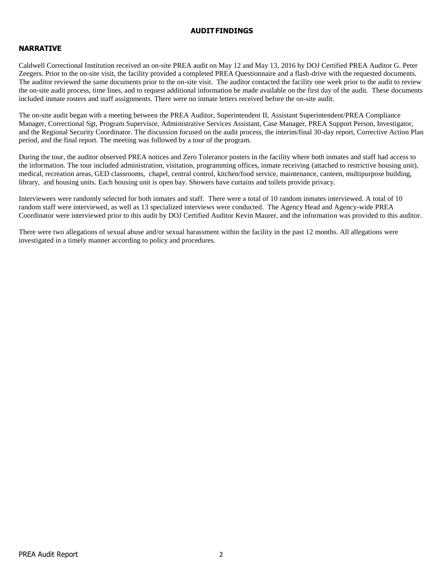#### **AUDITFINDINGS**

## **NARRATIVE**

Caldwell Correctional Institution received an on-site PREA audit on May 12 and May 13, 2016 by DOJ Certified PREA Auditor G. Peter Zeegers. Prior to the on-site visit, the facility provided a completed PREA Questionnaire and a flash-drive with the requested documents. The auditor reviewed the same documents prior to the on-site visit. The auditor contacted the facility one week prior to the audit to review the on-site audit process, time lines, and to request additional information be made available on the first day of the audit. These documents included inmate rosters and staff assignments. There were no inmate letters received before the on-site audit.

The on-site audit began with a meeting between the PREA Auditor, Superintendent II, Assistant Superintendent/PREA Compliance Manager, Correctional Sgt, Program Supervisor, Administrative Services Assistant, Case Manager, PREA Support Person, Investigator, and the Regional Security Coordinator. The discussion focused on the audit process, the interim/final 30-day report, Corrective Action Plan period, and the final report. The meeting was followed by a tour of the program.

During the tour, the auditor observed PREA notices and Zero Tolerance posters in the facility where both inmates and staff had access to the information. The tour included administration, visitation, programming offices, inmate receiving (attached to restrictive housing unit), medical, recreation areas, GED classrooms, chapel, central control, kitchen/food service, maintenance, canteen, multipurpose building, library, and housing units. Each housing unit is open bay. Showers have curtains and toilets provide privacy.

Interviewees were randomly selected for both inmates and staff. There were a total of 10 random inmates interviewed. A total of 10 random staff were interviewed, as well as 13 specialized interviews were conducted. The Agency Head and Agency-wide PREA Coordinator were interviewed prior to this audit by DOJ Certified Auditor Kevin Maurer, and the information was provided to this auditor.

There were two allegations of sexual abuse and/or sexual harassment within the facility in the past 12 months. All allegations were investigated in a timely manner according to policy and procedures.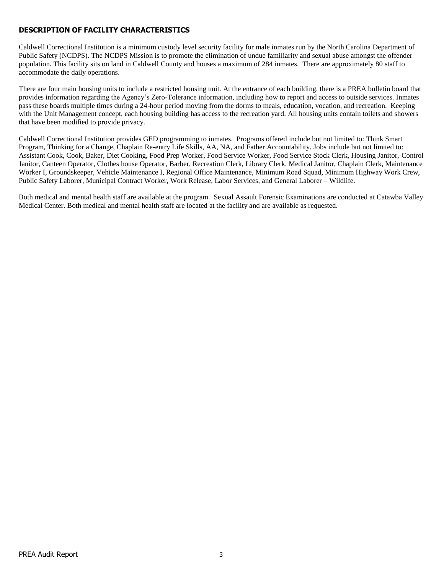# **DESCRIPTION OF FACILITY CHARACTERISTICS**

Caldwell Correctional Institution is a minimum custody level security facility for male inmates run by the North Carolina Department of Public Safety (NCDPS). The NCDPS Mission is to promote the elimination of undue familiarity and sexual abuse amongst the offender population. This facility sits on land in Caldwell County and houses a maximum of 284 inmates. There are approximately 80 staff to accommodate the daily operations.

There are four main housing units to include a restricted housing unit. At the entrance of each building, there is a PREA bulletin board that provides information regarding the Agency's Zero-Tolerance information, including how to report and access to outside services. Inmates pass these boards multiple times during a 24-hour period moving from the dorms to meals, education, vocation, and recreation. Keeping with the Unit Management concept, each housing building has access to the recreation yard. All housing units contain toilets and showers that have been modified to provide privacy.

Caldwell Correctional Institution provides GED programming to inmates. Programs offered include but not limited to: Think Smart Program, Thinking for a Change, Chaplain Re-entry Life Skills, AA, NA, and Father Accountability. Jobs include but not limited to: Assistant Cook, Cook, Baker, Diet Cooking, Food Prep Worker, Food Service Worker, Food Service Stock Clerk, Housing Janitor, Control Janitor, Canteen Operator, Clothes house Operator, Barber, Recreation Clerk, Library Clerk, Medical Janitor, Chaplain Clerk, Maintenance Worker I, Groundskeeper, Vehicle Maintenance I, Regional Office Maintenance, Minimum Road Squad, Minimum Highway Work Crew, Public Safety Laborer, Municipal Contract Worker, Work Release, Labor Services, and General Laborer – Wildlife.

Both medical and mental health staff are available at the program. Sexual Assault Forensic Examinations are conducted at Catawba Valley Medical Center. Both medical and mental health staff are located at the facility and are available as requested.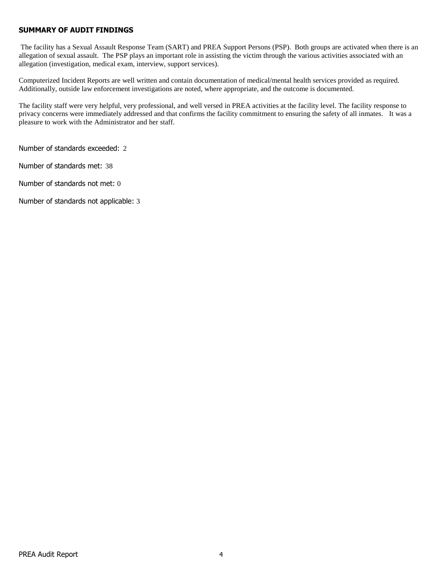#### **SUMMARY OF AUDIT FINDINGS**

The facility has a Sexual Assault Response Team (SART) and PREA Support Persons (PSP). Both groups are activated when there is an allegation of sexual assault. The PSP plays an important role in assisting the victim through the various activities associated with an allegation (investigation, medical exam, interview, support services).

Computerized Incident Reports are well written and contain documentation of medical/mental health services provided as required. Additionally, outside law enforcement investigations are noted, where appropriate, and the outcome is documented.

The facility staff were very helpful, very professional, and well versed in PREA activities at the facility level. The facility response to privacy concerns were immediately addressed and that confirms the facility commitment to ensuring the safety of all inmates. It was a pleasure to work with the Administrator and her staff.

Number of standards exceeded: 2

Number of standards met: 38

Number of standards not met: 0

Number of standards not applicable: 3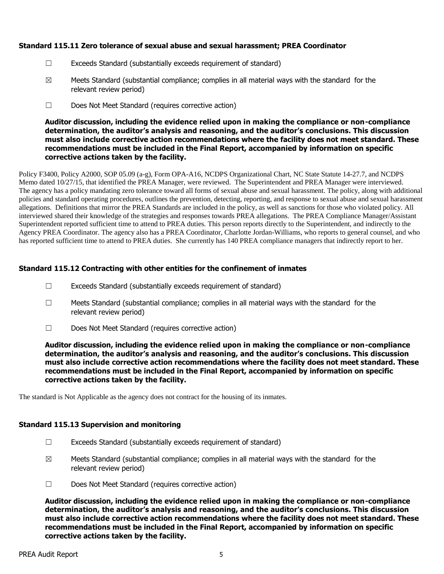## **Standard 115.11 Zero tolerance of sexual abuse and sexual harassment; PREA Coordinator**

- ☐ Exceeds Standard (substantially exceeds requirement of standard)
- $\boxtimes$  Meets Standard (substantial compliance; complies in all material ways with the standard for the relevant review period)
- ☐ Does Not Meet Standard (requires corrective action)

#### **Auditor discussion, including the evidence relied upon in making the compliance or non-compliance determination, the auditor's analysis and reasoning, and the auditor's conclusions. This discussion must also include corrective action recommendations where the facility does not meet standard. These recommendations must be included in the Final Report, accompanied by information on specific corrective actions taken by the facility.**

Policy F3400, Policy A2000, SOP 05.09 (a-g), Form OPA-A16, NCDPS Organizational Chart, NC State Statute 14-27.7, and NCDPS Memo dated 10/27/15, that identified the PREA Manager, were reviewed. The Superintendent and PREA Manager were interviewed. The agency has a policy mandating zero tolerance toward all forms of sexual abuse and sexual harassment. The policy, along with additional policies and standard operating procedures, outlines the prevention, detecting, reporting, and response to sexual abuse and sexual harassment allegations. Definitions that mirror the PREA Standards are included in the policy, as well as sanctions for those who violated policy. All interviewed shared their knowledge of the strategies and responses towards PREA allegations. The PREA Compliance Manager/Assistant Superintendent reported sufficient time to attend to PREA duties. This person reports directly to the Superintendent, and indirectly to the Agency PREA Coordinator. The agency also has a PREA Coordinator, Charlotte Jordan-Williams, who reports to general counsel, and who has reported sufficient time to attend to PREA duties. She currently has 140 PREA compliance managers that indirectly report to her.

## **Standard 115.12 Contracting with other entities for the confinement of inmates**

- ☐ Exceeds Standard (substantially exceeds requirement of standard)
- ☐ Meets Standard (substantial compliance; complies in all material ways with the standard for the relevant review period)
- ☐ Does Not Meet Standard (requires corrective action)

**Auditor discussion, including the evidence relied upon in making the compliance or non-compliance determination, the auditor's analysis and reasoning, and the auditor's conclusions. This discussion must also include corrective action recommendations where the facility does not meet standard. These recommendations must be included in the Final Report, accompanied by information on specific corrective actions taken by the facility.**

The standard is Not Applicable as the agency does not contract for the housing of its inmates.

#### **Standard 115.13 Supervision and monitoring**

- ☐ Exceeds Standard (substantially exceeds requirement of standard)
- $\boxtimes$  Meets Standard (substantial compliance; complies in all material ways with the standard for the relevant review period)
- ☐ Does Not Meet Standard (requires corrective action)

**Auditor discussion, including the evidence relied upon in making the compliance or non-compliance determination, the auditor's analysis and reasoning, and the auditor's conclusions. This discussion must also include corrective action recommendations where the facility does not meet standard. These recommendations must be included in the Final Report, accompanied by information on specific corrective actions taken by the facility.**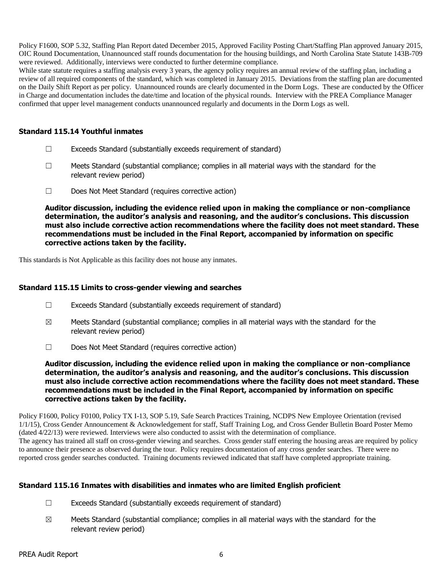Policy F1600, SOP 5.32, Staffing Plan Report dated December 2015, Approved Facility Posting Chart/Staffing Plan approved January 2015, OIC Round Documentation, Unannounced staff rounds documentation for the housing buildings, and North Carolina State Statute 143B-709 were reviewed. Additionally, interviews were conducted to further determine compliance.

While state statute requires a staffing analysis every 3 years, the agency policy requires an annual review of the staffing plan, including a review of all required components of the standard, which was completed in January 2015. Deviations from the staffing plan are documented on the Daily Shift Report as per policy. Unannounced rounds are clearly documented in the Dorm Logs. These are conducted by the Officer in Charge and documentation includes the date/time and location of the physical rounds. Interview with the PREA Compliance Manager confirmed that upper level management conducts unannounced regularly and documents in the Dorm Logs as well.

# **Standard 115.14 Youthful inmates**

- ☐ Exceeds Standard (substantially exceeds requirement of standard)
- $\Box$  Meets Standard (substantial compliance; complies in all material ways with the standard for the relevant review period)
- ☐ Does Not Meet Standard (requires corrective action)

**Auditor discussion, including the evidence relied upon in making the compliance or non-compliance determination, the auditor's analysis and reasoning, and the auditor's conclusions. This discussion must also include corrective action recommendations where the facility does not meet standard. These recommendations must be included in the Final Report, accompanied by information on specific corrective actions taken by the facility.**

This standards is Not Applicable as this facility does not house any inmates.

## **Standard 115.15 Limits to cross-gender viewing and searches**

- ☐ Exceeds Standard (substantially exceeds requirement of standard)
- $\boxtimes$  Meets Standard (substantial compliance; complies in all material ways with the standard for the relevant review period)
- ☐ Does Not Meet Standard (requires corrective action)

**Auditor discussion, including the evidence relied upon in making the compliance or non-compliance determination, the auditor's analysis and reasoning, and the auditor's conclusions. This discussion must also include corrective action recommendations where the facility does not meet standard. These recommendations must be included in the Final Report, accompanied by information on specific corrective actions taken by the facility.**

Policy F1600, Policy F0100, Policy TX I-13, SOP 5.19, Safe Search Practices Training, NCDPS New Employee Orientation (revised 1/1/15), Cross Gender Announcement & Acknowledgement for staff, Staff Training Log, and Cross Gender Bulletin Board Poster Memo (dated 4/22/13) were reviewed. Interviews were also conducted to assist with the determination of compliance. The agency has trained all staff on cross-gender viewing and searches. Cross gender staff entering the housing areas are required by policy to announce their presence as observed during the tour. Policy requires documentation of any cross gender searches. There were no reported cross gender searches conducted. Training documents reviewed indicated that staff have completed appropriate training.

## **Standard 115.16 Inmates with disabilities and inmates who are limited English proficient**

- ☐ Exceeds Standard (substantially exceeds requirement of standard)
- $\boxtimes$  Meets Standard (substantial compliance; complies in all material ways with the standard for the relevant review period)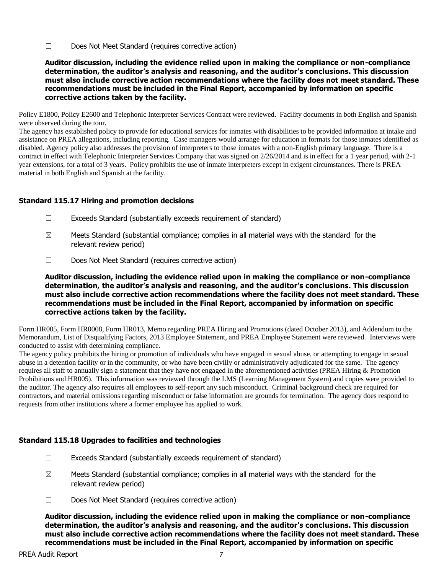☐ Does Not Meet Standard (requires corrective action)

**Auditor discussion, including the evidence relied upon in making the compliance or non-compliance determination, the auditor's analysis and reasoning, and the auditor's conclusions. This discussion must also include corrective action recommendations where the facility does not meet standard. These recommendations must be included in the Final Report, accompanied by information on specific corrective actions taken by the facility.**

Policy E1800, Policy E2600 and Telephonic Interpreter Services Contract were reviewed. Facility documents in both English and Spanish were observed during the tour.

The agency has established policy to provide for educational services for inmates with disabilities to be provided information at intake and assistance on PREA allegations, including reporting. Case managers would arrange for education in formats for those inmates identified as disabled. Agency policy also addresses the provision of interpreters to those inmates with a non-English primary language. There is a contract in effect with Telephonic Interpreter Services Company that was signed on 2/26/2014 and is in effect for a 1 year period, with 2-1 year extensions, for a total of 3 years. Policy prohibits the use of inmate interpreters except in exigent circumstances. There is PREA material in both English and Spanish at the facility.

## **Standard 115.17 Hiring and promotion decisions**

- ☐ Exceeds Standard (substantially exceeds requirement of standard)
- $\boxtimes$  Meets Standard (substantial compliance; complies in all material ways with the standard for the relevant review period)
- ☐ Does Not Meet Standard (requires corrective action)

**Auditor discussion, including the evidence relied upon in making the compliance or non-compliance determination, the auditor's analysis and reasoning, and the auditor's conclusions. This discussion must also include corrective action recommendations where the facility does not meet standard. These recommendations must be included in the Final Report, accompanied by information on specific corrective actions taken by the facility.**

Form HR005, Form HR0008, Form HR013, Memo regarding PREA Hiring and Promotions (dated October 2013), and Addendum to the Memorandum, List of Disqualifying Factors, 2013 Employee Statement, and PREA Employee Statement were reviewed. Interviews were conducted to assist with determining compliance.

The agency policy prohibits the hiring or promotion of individuals who have engaged in sexual abuse, or attempting to engage in sexual abuse in a detention facility or in the community, or who have been civilly or administratively adjudicated for the same. The agency requires all staff to annually sign a statement that they have not engaged in the aforementioned activities (PREA Hiring & Promotion Prohibitions and HR005). This information was reviewed through the LMS (Learning Management System) and copies were provided to the auditor. The agency also requires all employees to self-report any such misconduct. Criminal background check are required for contractors, and material omissions regarding misconduct or false information are grounds for termination. The agency does respond to requests from other institutions where a former employee has applied to work.

## **Standard 115.18 Upgrades to facilities and technologies**

- ☐ Exceeds Standard (substantially exceeds requirement of standard)
- $\boxtimes$  Meets Standard (substantial compliance; complies in all material ways with the standard for the relevant review period)
- ☐ Does Not Meet Standard (requires corrective action)

**Auditor discussion, including the evidence relied upon in making the compliance or non-compliance determination, the auditor's analysis and reasoning, and the auditor's conclusions. This discussion must also include corrective action recommendations where the facility does not meet standard. These recommendations must be included in the Final Report, accompanied by information on specific**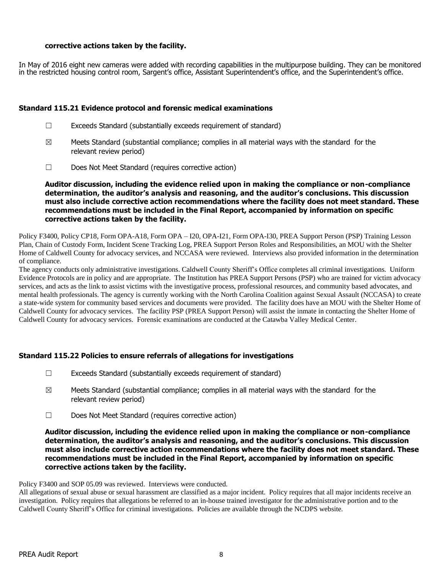## **corrective actions taken by the facility.**

In May of 2016 eight new cameras were added with recording capabilities in the multipurpose building. They can be monitored in the restricted housing control room, Sargent's office, Assistant Superintendent's office, and the Superintendent's office.

#### **Standard 115.21 Evidence protocol and forensic medical examinations**

- $\Box$  Exceeds Standard (substantially exceeds requirement of standard)
- $\boxtimes$  Meets Standard (substantial compliance; complies in all material ways with the standard for the relevant review period)
- ☐ Does Not Meet Standard (requires corrective action)

#### **Auditor discussion, including the evidence relied upon in making the compliance or non-compliance determination, the auditor's analysis and reasoning, and the auditor's conclusions. This discussion must also include corrective action recommendations where the facility does not meet standard. These recommendations must be included in the Final Report, accompanied by information on specific corrective actions taken by the facility.**

Policy F3400, Policy CP18, Form OPA-A18, Form OPA – I20, OPA-I21, Form OPA-I30, PREA Support Person (PSP) Training Lesson Plan, Chain of Custody Form, Incident Scene Tracking Log, PREA Support Person Roles and Responsibilities, an MOU with the Shelter Home of Caldwell County for advocacy services, and NCCASA were reviewed. Interviews also provided information in the determination of compliance.

The agency conducts only administrative investigations. Caldwell County Sheriff's Office completes all criminal investigations. Uniform Evidence Protocols are in policy and are appropriate. The Institution has PREA Support Persons (PSP) who are trained for victim advocacy services, and acts as the link to assist victims with the investigative process, professional resources, and community based advocates, and mental health professionals. The agency is currently working with the North Carolina Coalition against Sexual Assault (NCCASA) to create a state-wide system for community based services and documents were provided. The facility does have an MOU with the Shelter Home of Caldwell County for advocacy services. The facility PSP (PREA Support Person) will assist the inmate in contacting the Shelter Home of Caldwell County for advocacy services. Forensic examinations are conducted at the Catawba Valley Medical Center.

## **Standard 115.22 Policies to ensure referrals of allegations for investigations**

- $\Box$  Exceeds Standard (substantially exceeds requirement of standard)
- $\boxtimes$  Meets Standard (substantial compliance; complies in all material ways with the standard for the relevant review period)
- ☐ Does Not Meet Standard (requires corrective action)

#### **Auditor discussion, including the evidence relied upon in making the compliance or non-compliance determination, the auditor's analysis and reasoning, and the auditor's conclusions. This discussion must also include corrective action recommendations where the facility does not meet standard. These recommendations must be included in the Final Report, accompanied by information on specific corrective actions taken by the facility.**

Policy F3400 and SOP 05.09 was reviewed. Interviews were conducted.

All allegations of sexual abuse or sexual harassment are classified as a major incident. Policy requires that all major incidents receive an investigation. Policy requires that allegations be referred to an in-house trained investigator for the administrative portion and to the Caldwell County Sheriff's Office for criminal investigations. Policies are available through the NCDPS website.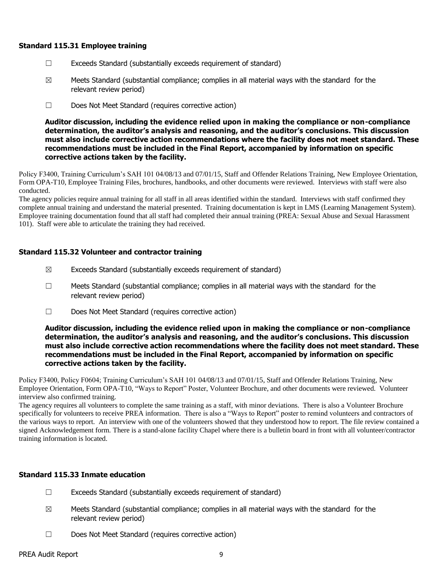#### **Standard 115.31 Employee training**

- ☐ Exceeds Standard (substantially exceeds requirement of standard)
- $\boxtimes$  Meets Standard (substantial compliance; complies in all material ways with the standard for the relevant review period)
- ☐ Does Not Meet Standard (requires corrective action)

**Auditor discussion, including the evidence relied upon in making the compliance or non-compliance determination, the auditor's analysis and reasoning, and the auditor's conclusions. This discussion must also include corrective action recommendations where the facility does not meet standard. These recommendations must be included in the Final Report, accompanied by information on specific corrective actions taken by the facility.**

Policy F3400, Training Curriculum's SAH 101 04/08/13 and 07/01/15, Staff and Offender Relations Training, New Employee Orientation, Form OPA-T10, Employee Training Files, brochures, handbooks, and other documents were reviewed. Interviews with staff were also conducted.

The agency policies require annual training for all staff in all areas identified within the standard. Interviews with staff confirmed they complete annual training and understand the material presented. Training documentation is kept in LMS (Learning Management System). Employee training documentation found that all staff had completed their annual training (PREA: Sexual Abuse and Sexual Harassment 101). Staff were able to articulate the training they had received.

#### **Standard 115.32 Volunteer and contractor training**

- $\boxtimes$  Exceeds Standard (substantially exceeds requirement of standard)
- $\Box$  Meets Standard (substantial compliance; complies in all material ways with the standard for the relevant review period)
- ☐ Does Not Meet Standard (requires corrective action)

#### **Auditor discussion, including the evidence relied upon in making the compliance or non-compliance determination, the auditor's analysis and reasoning, and the auditor's conclusions. This discussion must also include corrective action recommendations where the facility does not meet standard. These recommendations must be included in the Final Report, accompanied by information on specific corrective actions taken by the facility.**

Policy F3400, Policy F0604; Training Curriculum's SAH 101 04/08/13 and 07/01/15, Staff and Offender Relations Training, New Employee Orientation, Form OPA-T10, "Ways to Report" Poster, Volunteer Brochure, and other documents were reviewed. Volunteer interview also confirmed training.

The agency requires all volunteers to complete the same training as a staff, with minor deviations. There is also a Volunteer Brochure specifically for volunteers to receive PREA information. There is also a "Ways to Report" poster to remind volunteers and contractors of the various ways to report. An interview with one of the volunteers showed that they understood how to report. The file review contained a signed Acknowledgement form. There is a stand-alone facility Chapel where there is a bulletin board in front with all volunteer/contractor training information is located.

## **Standard 115.33 Inmate education**

- $\Box$  Exceeds Standard (substantially exceeds requirement of standard)
- $\boxtimes$  Meets Standard (substantial compliance; complies in all material ways with the standard for the relevant review period)
- ☐ Does Not Meet Standard (requires corrective action)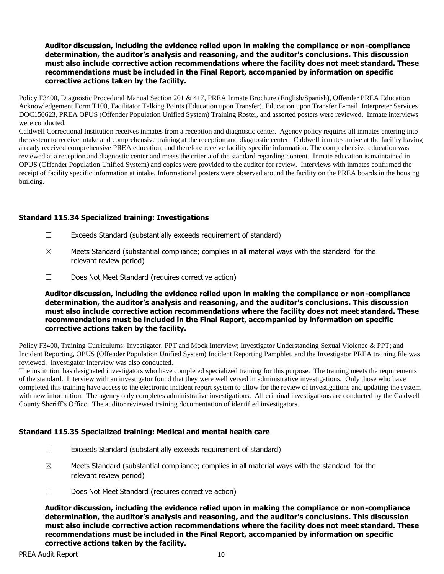Policy F3400, Diagnostic Procedural Manual Section 201 & 417, PREA Inmate Brochure (English/Spanish), Offender PREA Education Acknowledgement Form T100, Facilitator Talking Points (Education upon Transfer), Education upon Transfer E-mail, Interpreter Services DOC150623, PREA OPUS (Offender Population Unified System) Training Roster, and assorted posters were reviewed. Inmate interviews were conducted.

Caldwell Correctional Institution receives inmates from a reception and diagnostic center. Agency policy requires all inmates entering into the system to receive intake and comprehensive training at the reception and diagnostic center. Caldwell inmates arrive at the facility having already received comprehensive PREA education, and therefore receive facility specific information. The comprehensive education was reviewed at a reception and diagnostic center and meets the criteria of the standard regarding content. Inmate education is maintained in OPUS (Offender Population Unified System) and copies were provided to the auditor for review. Interviews with inmates confirmed the receipt of facility specific information at intake. Informational posters were observed around the facility on the PREA boards in the housing building.

## **Standard 115.34 Specialized training: Investigations**

- ☐ Exceeds Standard (substantially exceeds requirement of standard)
- $\boxtimes$  Meets Standard (substantial compliance; complies in all material ways with the standard for the relevant review period)
- ☐ Does Not Meet Standard (requires corrective action)

**Auditor discussion, including the evidence relied upon in making the compliance or non-compliance determination, the auditor's analysis and reasoning, and the auditor's conclusions. This discussion must also include corrective action recommendations where the facility does not meet standard. These recommendations must be included in the Final Report, accompanied by information on specific corrective actions taken by the facility.**

Policy F3400, Training Curriculums: Investigator, PPT and Mock Interview; Investigator Understanding Sexual Violence & PPT; and Incident Reporting, OPUS (Offender Population Unified System) Incident Reporting Pamphlet, and the Investigator PREA training file was reviewed. Investigator Interview was also conducted.

The institution has designated investigators who have completed specialized training for this purpose. The training meets the requirements of the standard. Interview with an investigator found that they were well versed in administrative investigations. Only those who have completed this training have access to the electronic incident report system to allow for the review of investigations and updating the system with new information. The agency only completes administrative investigations. All criminal investigations are conducted by the Caldwell County Sheriff's Office. The auditor reviewed training documentation of identified investigators.

#### **Standard 115.35 Specialized training: Medical and mental health care**

- $\Box$  Exceeds Standard (substantially exceeds requirement of standard)
- $\boxtimes$  Meets Standard (substantial compliance; complies in all material ways with the standard for the relevant review period)
- ☐ Does Not Meet Standard (requires corrective action)

**Auditor discussion, including the evidence relied upon in making the compliance or non-compliance determination, the auditor's analysis and reasoning, and the auditor's conclusions. This discussion must also include corrective action recommendations where the facility does not meet standard. These recommendations must be included in the Final Report, accompanied by information on specific corrective actions taken by the facility.**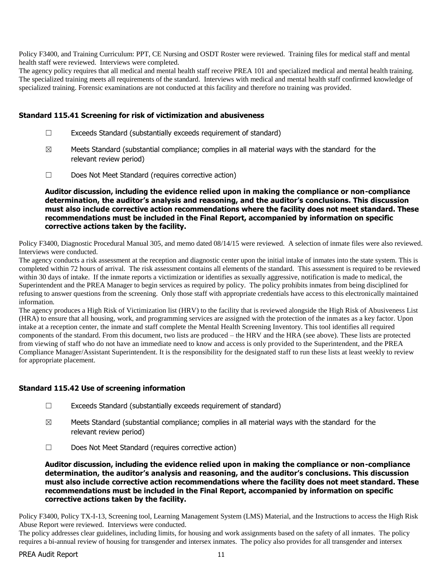Policy F3400, and Training Curriculum: PPT, CE Nursing and OSDT Roster were reviewed. Training files for medical staff and mental health staff were reviewed. Interviews were completed.

The agency policy requires that all medical and mental health staff receive PREA 101 and specialized medical and mental health training. The specialized training meets all requirements of the standard. Interviews with medical and mental health staff confirmed knowledge of specialized training. Forensic examinations are not conducted at this facility and therefore no training was provided.

## **Standard 115.41 Screening for risk of victimization and abusiveness**

- ☐ Exceeds Standard (substantially exceeds requirement of standard)
- $\boxtimes$  Meets Standard (substantial compliance; complies in all material ways with the standard for the relevant review period)
- ☐ Does Not Meet Standard (requires corrective action)

**Auditor discussion, including the evidence relied upon in making the compliance or non-compliance determination, the auditor's analysis and reasoning, and the auditor's conclusions. This discussion must also include corrective action recommendations where the facility does not meet standard. These recommendations must be included in the Final Report, accompanied by information on specific corrective actions taken by the facility.**

Policy F3400, Diagnostic Procedural Manual 305, and memo dated 08/14/15 were reviewed. A selection of inmate files were also reviewed. Interviews were conducted.

The agency conducts a risk assessment at the reception and diagnostic center upon the initial intake of inmates into the state system. This is completed within 72 hours of arrival. The risk assessment contains all elements of the standard. This assessment is required to be reviewed within 30 days of intake. If the inmate reports a victimization or identifies as sexually aggressive, notification is made to medical, the Superintendent and the PREA Manager to begin services as required by policy. The policy prohibits inmates from being disciplined for refusing to answer questions from the screening. Only those staff with appropriate credentials have access to this electronically maintained information.

The agency produces a High Risk of Victimization list (HRV) to the facility that is reviewed alongside the High Risk of Abusiveness List (HRA) to ensure that all housing, work, and programming services are assigned with the protection of the inmates as a key factor. Upon intake at a reception center, the inmate and staff complete the Mental Health Screening Inventory. This tool identifies all required components of the standard. From this document, two lists are produced – the HRV and the HRA (see above). These lists are protected from viewing of staff who do not have an immediate need to know and access is only provided to the Superintendent, and the PREA Compliance Manager/Assistant Superintendent. It is the responsibility for the designated staff to run these lists at least weekly to review for appropriate placement.

## **Standard 115.42 Use of screening information**

- ☐ Exceeds Standard (substantially exceeds requirement of standard)
- $\boxtimes$  Meets Standard (substantial compliance; complies in all material ways with the standard for the relevant review period)
- ☐ Does Not Meet Standard (requires corrective action)

**Auditor discussion, including the evidence relied upon in making the compliance or non-compliance determination, the auditor's analysis and reasoning, and the auditor's conclusions. This discussion must also include corrective action recommendations where the facility does not meet standard. These recommendations must be included in the Final Report, accompanied by information on specific corrective actions taken by the facility.**

Policy F3400, Policy TX-I-13, Screening tool, Learning Management System (LMS) Material, and the Instructions to access the High Risk Abuse Report were reviewed. Interviews were conducted.

The policy addresses clear guidelines, including limits, for housing and work assignments based on the safety of all inmates. The policy requires a bi-annual review of housing for transgender and intersex inmates. The policy also provides for all transgender and intersex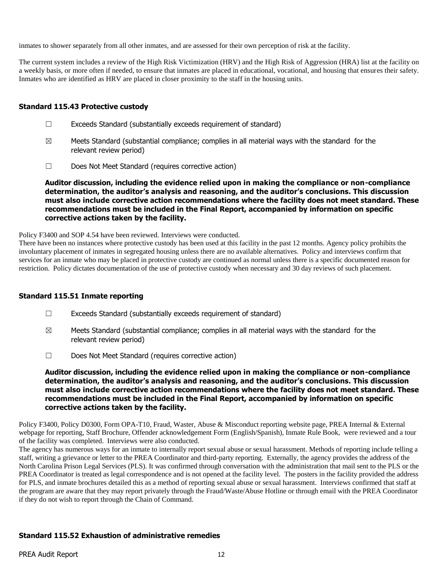inmates to shower separately from all other inmates, and are assessed for their own perception of risk at the facility.

The current system includes a review of the High Risk Victimization (HRV) and the High Risk of Aggression (HRA) list at the facility on a weekly basis, or more often if needed, to ensure that inmates are placed in educational, vocational, and housing that ensures their safety. Inmates who are identified as HRV are placed in closer proximity to the staff in the housing units.

#### **Standard 115.43 Protective custody**

- ☐ Exceeds Standard (substantially exceeds requirement of standard)
- $\boxtimes$  Meets Standard (substantial compliance; complies in all material ways with the standard for the relevant review period)
- ☐ Does Not Meet Standard (requires corrective action)

**Auditor discussion, including the evidence relied upon in making the compliance or non-compliance determination, the auditor's analysis and reasoning, and the auditor's conclusions. This discussion must also include corrective action recommendations where the facility does not meet standard. These recommendations must be included in the Final Report, accompanied by information on specific corrective actions taken by the facility.**

Policy F3400 and SOP 4.54 have been reviewed. Interviews were conducted.

There have been no instances where protective custody has been used at this facility in the past 12 months. Agency policy prohibits the involuntary placement of inmates in segregated housing unless there are no available alternatives. Policy and interviews confirm that services for an inmate who may be placed in protective custody are continued as normal unless there is a specific documented reason for restriction. Policy dictates documentation of the use of protective custody when necessary and 30 day reviews of such placement.

## **Standard 115.51 Inmate reporting**

- $\Box$  Exceeds Standard (substantially exceeds requirement of standard)
- $\boxtimes$  Meets Standard (substantial compliance; complies in all material ways with the standard for the relevant review period)
- ☐ Does Not Meet Standard (requires corrective action)

**Auditor discussion, including the evidence relied upon in making the compliance or non-compliance determination, the auditor's analysis and reasoning, and the auditor's conclusions. This discussion must also include corrective action recommendations where the facility does not meet standard. These recommendations must be included in the Final Report, accompanied by information on specific corrective actions taken by the facility.**

Policy F3400, Policy D0300, Form OPA-T10, Fraud, Waster, Abuse & Misconduct reporting website page, PREA Internal & External webpage for reporting, Staff Brochure, Offender acknowledgement Form (English/Spanish), Inmate Rule Book, were reviewed and a tour of the facility was completed. Interviews were also conducted.

The agency has numerous ways for an inmate to internally report sexual abuse or sexual harassment. Methods of reporting include telling a staff, writing a grievance or letter to the PREA Coordinator and third-party reporting. Externally, the agency provides the address of the North Carolina Prison Legal Services (PLS). It was confirmed through conversation with the administration that mail sent to the PLS or the PREA Coordinator is treated as legal correspondence and is not opened at the facility level. The posters in the facility provided the address for PLS, and inmate brochures detailed this as a method of reporting sexual abuse or sexual harassment. Interviews confirmed that staff at the program are aware that they may report privately through the Fraud/Waste/Abuse Hotline or through email with the PREA Coordinator if they do not wish to report through the Chain of Command.

## **Standard 115.52 Exhaustion of administrative remedies**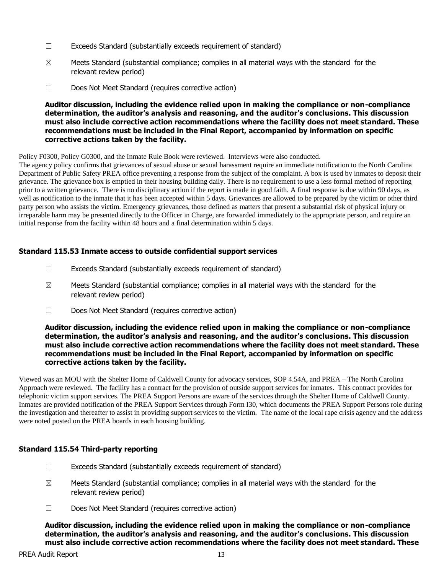- ☐ Exceeds Standard (substantially exceeds requirement of standard)
- $\boxtimes$  Meets Standard (substantial compliance; complies in all material ways with the standard for the relevant review period)
- ☐ Does Not Meet Standard (requires corrective action)

Policy F0300, Policy G0300, and the Inmate Rule Book were reviewed. Interviews were also conducted.

The agency policy confirms that grievances of sexual abuse or sexual harassment require an immediate notification to the North Carolina Department of Public Safety PREA office preventing a response from the subject of the complaint. A box is used by inmates to deposit their grievance. The grievance box is emptied in their housing building daily. There is no requirement to use a less formal method of reporting prior to a written grievance. There is no disciplinary action if the report is made in good faith. A final response is due within 90 days, as well as notification to the inmate that it has been accepted within 5 days. Grievances are allowed to be prepared by the victim or other third party person who assists the victim. Emergency grievances, those defined as matters that present a substantial risk of physical injury or irreparable harm may be presented directly to the Officer in Charge, are forwarded immediately to the appropriate person, and require an initial response from the facility within 48 hours and a final determination within 5 days.

## **Standard 115.53 Inmate access to outside confidential support services**

- $\Box$  Exceeds Standard (substantially exceeds requirement of standard)
- $\boxtimes$  Meets Standard (substantial compliance; complies in all material ways with the standard for the relevant review period)
- ☐ Does Not Meet Standard (requires corrective action)

#### **Auditor discussion, including the evidence relied upon in making the compliance or non-compliance determination, the auditor's analysis and reasoning, and the auditor's conclusions. This discussion must also include corrective action recommendations where the facility does not meet standard. These recommendations must be included in the Final Report, accompanied by information on specific corrective actions taken by the facility.**

Viewed was an MOU with the Shelter Home of Caldwell County for advocacy services, SOP 4.54A, and PREA – The North Carolina Approach were reviewed. The facility has a contract for the provision of outside support services for inmates. This contract provides for telephonic victim support services. The PREA Support Persons are aware of the services through the Shelter Home of Caldwell County. Inmates are provided notification of the PREA Support Services through Form I30, which documents the PREA Support Persons role during the investigation and thereafter to assist in providing support services to the victim. The name of the local rape crisis agency and the address were noted posted on the PREA boards in each housing building.

## **Standard 115.54 Third-party reporting**

- ☐ Exceeds Standard (substantially exceeds requirement of standard)
- $\boxtimes$  Meets Standard (substantial compliance; complies in all material ways with the standard for the relevant review period)
- ☐ Does Not Meet Standard (requires corrective action)

**Auditor discussion, including the evidence relied upon in making the compliance or non-compliance determination, the auditor's analysis and reasoning, and the auditor's conclusions. This discussion must also include corrective action recommendations where the facility does not meet standard. These**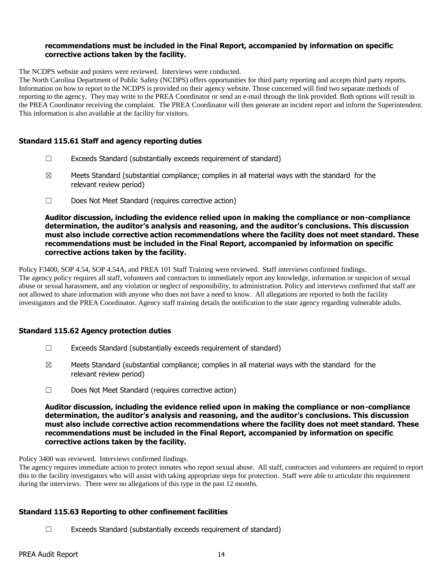#### **recommendations must be included in the Final Report, accompanied by information on specific corrective actions taken by the facility.**

The NCDPS website and posters were reviewed. Interviews were conducted.

The North Carolina Department of Public Safety (NCDPS) offers opportunities for third party reporting and accepts third party reports. Information on how to report to the NCDPS is provided on their agency website. Those concerned will find two separate methods of reporting to the agency. They may write to the PREA Coordinator or send an e-mail through the link provided. Both options will result in the PREA Coordinator receiving the complaint. The PREA Coordinator will then generate an incident report and inform the Superintendent. This information is also available at the facility for visitors.

#### **Standard 115.61 Staff and agency reporting duties**

- $\Box$  Exceeds Standard (substantially exceeds requirement of standard)
- $\boxtimes$  Meets Standard (substantial compliance; complies in all material ways with the standard for the relevant review period)
- ☐ Does Not Meet Standard (requires corrective action)

**Auditor discussion, including the evidence relied upon in making the compliance or non-compliance determination, the auditor's analysis and reasoning, and the auditor's conclusions. This discussion must also include corrective action recommendations where the facility does not meet standard. These recommendations must be included in the Final Report, accompanied by information on specific corrective actions taken by the facility.**

Policy F3400, SOP 4.54, SOP 4.54A, and PREA 101 Staff Training were reviewed. Staff interviews confirmed findings. The agency policy requires all staff, volunteers and contractors to immediately report any knowledge, information or suspicion of sexual abuse or sexual harassment, and any violation or neglect of responsibility, to administration. Policy and interviews confirmed that staff are not allowed to share information with anyone who does not have a need to know. All allegations are reported to both the facility investigators and the PREA Coordinator. Agency staff training details the notification to the state agency regarding vulnerable adults.

## **Standard 115.62 Agency protection duties**

- $\Box$  Exceeds Standard (substantially exceeds requirement of standard)
- $\boxtimes$  Meets Standard (substantial compliance; complies in all material ways with the standard for the relevant review period)
- ☐ Does Not Meet Standard (requires corrective action)

**Auditor discussion, including the evidence relied upon in making the compliance or non-compliance determination, the auditor's analysis and reasoning, and the auditor's conclusions. This discussion must also include corrective action recommendations where the facility does not meet standard. These recommendations must be included in the Final Report, accompanied by information on specific corrective actions taken by the facility.**

#### Policy 3400 was reviewed. Interviews confirmed findings.

The agency requires immediate action to protect inmates who report sexual abuse. All staff, contractors and volunteers are required to report this to the facility investigators who will assist with taking appropriate steps for protection. Staff were able to articulate this requirement during the interviews. There were no allegations of this type in the past 12 months.

## **Standard 115.63 Reporting to other confinement facilities**

 $\Box$  Exceeds Standard (substantially exceeds requirement of standard)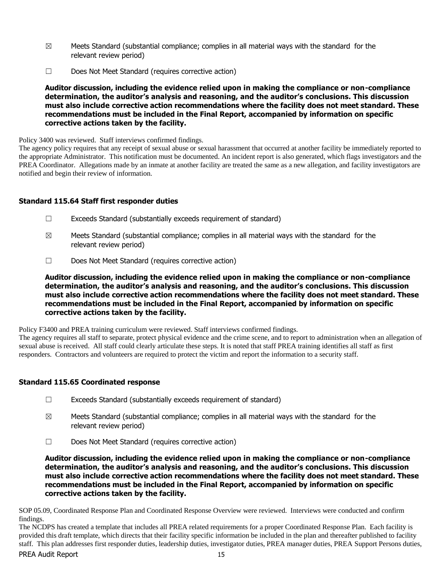- $\boxtimes$  Meets Standard (substantial compliance; complies in all material ways with the standard for the relevant review period)
- ☐ Does Not Meet Standard (requires corrective action)

Policy 3400 was reviewed. Staff interviews confirmed findings.

The agency policy requires that any receipt of sexual abuse or sexual harassment that occurred at another facility be immediately reported to the appropriate Administrator. This notification must be documented. An incident report is also generated, which flags investigators and the PREA Coordinator. Allegations made by an inmate at another facility are treated the same as a new allegation, and facility investigators are notified and begin their review of information.

# **Standard 115.64 Staff first responder duties**

- ☐ Exceeds Standard (substantially exceeds requirement of standard)
- $\boxtimes$  Meets Standard (substantial compliance; complies in all material ways with the standard for the relevant review period)
- ☐ Does Not Meet Standard (requires corrective action)

**Auditor discussion, including the evidence relied upon in making the compliance or non-compliance determination, the auditor's analysis and reasoning, and the auditor's conclusions. This discussion must also include corrective action recommendations where the facility does not meet standard. These recommendations must be included in the Final Report, accompanied by information on specific corrective actions taken by the facility.**

Policy F3400 and PREA training curriculum were reviewed. Staff interviews confirmed findings.

The agency requires all staff to separate, protect physical evidence and the crime scene, and to report to administration when an allegation of sexual abuse is received. All staff could clearly articulate these steps. It is noted that staff PREA training identifies all staff as first responders. Contractors and volunteers are required to protect the victim and report the information to a security staff.

## **Standard 115.65 Coordinated response**

- ☐ Exceeds Standard (substantially exceeds requirement of standard)
- $\boxtimes$  Meets Standard (substantial compliance; complies in all material ways with the standard for the relevant review period)
- ☐ Does Not Meet Standard (requires corrective action)

**Auditor discussion, including the evidence relied upon in making the compliance or non-compliance determination, the auditor's analysis and reasoning, and the auditor's conclusions. This discussion must also include corrective action recommendations where the facility does not meet standard. These recommendations must be included in the Final Report, accompanied by information on specific corrective actions taken by the facility.**

SOP 05.09, Coordinated Response Plan and Coordinated Response Overview were reviewed. Interviews were conducted and confirm findings.

PREA Audit Report 15 The NCDPS has created a template that includes all PREA related requirements for a proper Coordinated Response Plan. Each facility is provided this draft template, which directs that their facility specific information be included in the plan and thereafter published to facility staff. This plan addresses first responder duties, leadership duties, investigator duties, PREA manager duties, PREA Support Persons duties,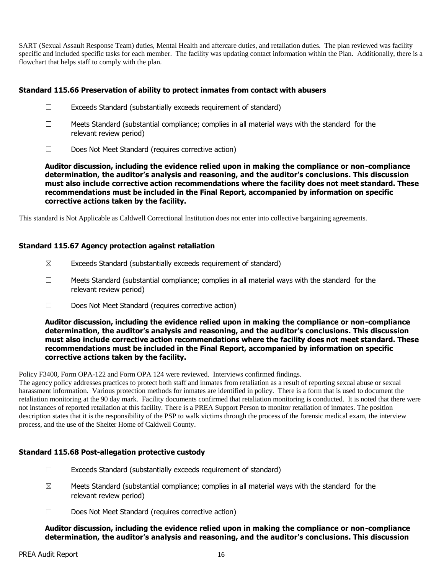SART (Sexual Assault Response Team) duties, Mental Health and aftercare duties, and retaliation duties. The plan reviewed was facility specific and included specific tasks for each member. The facility was updating contact information within the Plan. Additionally, there is a flowchart that helps staff to comply with the plan.

## **Standard 115.66 Preservation of ability to protect inmates from contact with abusers**

- ☐ Exceeds Standard (substantially exceeds requirement of standard)
- $\Box$  Meets Standard (substantial compliance; complies in all material ways with the standard for the relevant review period)
- ☐ Does Not Meet Standard (requires corrective action)

**Auditor discussion, including the evidence relied upon in making the compliance or non-compliance determination, the auditor's analysis and reasoning, and the auditor's conclusions. This discussion must also include corrective action recommendations where the facility does not meet standard. These recommendations must be included in the Final Report, accompanied by information on specific corrective actions taken by the facility.**

This standard is Not Applicable as Caldwell Correctional Institution does not enter into collective bargaining agreements.

## **Standard 115.67 Agency protection against retaliation**

- $\boxtimes$  Exceeds Standard (substantially exceeds requirement of standard)
- $\Box$  Meets Standard (substantial compliance; complies in all material ways with the standard for the relevant review period)
- ☐ Does Not Meet Standard (requires corrective action)

**Auditor discussion, including the evidence relied upon in making the compliance or non-compliance determination, the auditor's analysis and reasoning, and the auditor's conclusions. This discussion must also include corrective action recommendations where the facility does not meet standard. These recommendations must be included in the Final Report, accompanied by information on specific corrective actions taken by the facility.**

Policy F3400, Form OPA-122 and Form OPA 124 were reviewed. Interviews confirmed findings.

The agency policy addresses practices to protect both staff and inmates from retaliation as a result of reporting sexual abuse or sexual harassment information. Various protection methods for inmates are identified in policy. There is a form that is used to document the retaliation monitoring at the 90 day mark. Facility documents confirmed that retaliation monitoring is conducted. It is noted that there were not instances of reported retaliation at this facility. There is a PREA Support Person to monitor retaliation of inmates. The position description states that it is the responsibility of the PSP to walk victims through the process of the forensic medical exam, the interview process, and the use of the Shelter Home of Caldwell County.

# **Standard 115.68 Post-allegation protective custody**

- $\Box$  Exceeds Standard (substantially exceeds requirement of standard)
- $\boxtimes$  Meets Standard (substantial compliance; complies in all material ways with the standard for the relevant review period)
- ☐ Does Not Meet Standard (requires corrective action)

#### **Auditor discussion, including the evidence relied upon in making the compliance or non-compliance determination, the auditor's analysis and reasoning, and the auditor's conclusions. This discussion**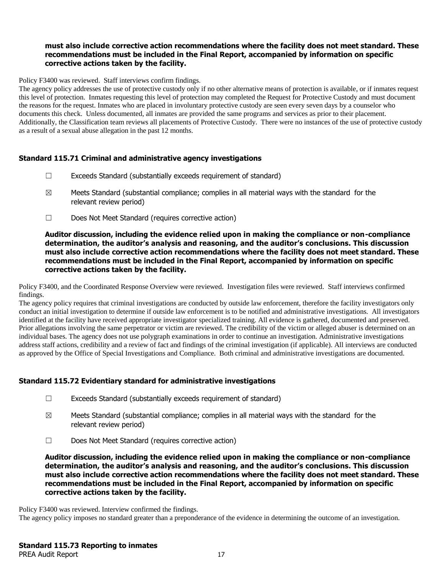## **must also include corrective action recommendations where the facility does not meet standard. These recommendations must be included in the Final Report, accompanied by information on specific corrective actions taken by the facility.**

Policy F3400 was reviewed. Staff interviews confirm findings.

The agency policy addresses the use of protective custody only if no other alternative means of protection is available, or if inmates request this level of protection. Inmates requesting this level of protection may completed the Request for Protective Custody and must document the reasons for the request. Inmates who are placed in involuntary protective custody are seen every seven days by a counselor who documents this check. Unless documented, all inmates are provided the same programs and services as prior to their placement. Additionally, the Classification team reviews all placements of Protective Custody. There were no instances of the use of protective custody as a result of a sexual abuse allegation in the past 12 months.

#### **Standard 115.71 Criminal and administrative agency investigations**

- ☐ Exceeds Standard (substantially exceeds requirement of standard)
- $\boxtimes$  Meets Standard (substantial compliance; complies in all material ways with the standard for the relevant review period)
- ☐ Does Not Meet Standard (requires corrective action)

#### **Auditor discussion, including the evidence relied upon in making the compliance or non-compliance determination, the auditor's analysis and reasoning, and the auditor's conclusions. This discussion must also include corrective action recommendations where the facility does not meet standard. These recommendations must be included in the Final Report, accompanied by information on specific corrective actions taken by the facility.**

Policy F3400, and the Coordinated Response Overview were reviewed. Investigation files were reviewed. Staff interviews confirmed findings.

The agency policy requires that criminal investigations are conducted by outside law enforcement, therefore the facility investigators only conduct an initial investigation to determine if outside law enforcement is to be notified and administrative investigations. All investigators identified at the facility have received appropriate investigator specialized training. All evidence is gathered, documented and preserved. Prior allegations involving the same perpetrator or victim are reviewed. The credibility of the victim or alleged abuser is determined on an individual bases. The agency does not use polygraph examinations in order to continue an investigation. Administrative investigations address staff actions, credibility and a review of fact and findings of the criminal investigation (if applicable). All interviews are conducted as approved by the Office of Special Investigations and Compliance. Both criminal and administrative investigations are documented.

## **Standard 115.72 Evidentiary standard for administrative investigations**

- ☐ Exceeds Standard (substantially exceeds requirement of standard)
- $\boxtimes$  Meets Standard (substantial compliance; complies in all material ways with the standard for the relevant review period)
- ☐ Does Not Meet Standard (requires corrective action)

**Auditor discussion, including the evidence relied upon in making the compliance or non-compliance determination, the auditor's analysis and reasoning, and the auditor's conclusions. This discussion must also include corrective action recommendations where the facility does not meet standard. These recommendations must be included in the Final Report, accompanied by information on specific corrective actions taken by the facility.**

Policy F3400 was reviewed. Interview confirmed the findings.

The agency policy imposes no standard greater than a preponderance of the evidence in determining the outcome of an investigation.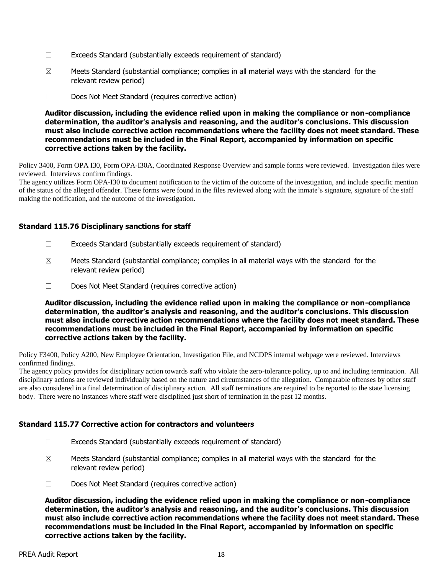- $\Box$  Exceeds Standard (substantially exceeds requirement of standard)
- $\boxtimes$  Meets Standard (substantial compliance; complies in all material ways with the standard for the relevant review period)
- ☐ Does Not Meet Standard (requires corrective action)

Policy 3400, Form OPA I30, Form OPA-I30A, Coordinated Response Overview and sample forms were reviewed. Investigation files were reviewed. Interviews confirm findings.

The agency utilizes Form OPA-I30 to document notification to the victim of the outcome of the investigation, and include specific mention of the status of the alleged offender. These forms were found in the files reviewed along with the inmate's signature, signature of the staff making the notification, and the outcome of the investigation.

## **Standard 115.76 Disciplinary sanctions for staff**

- $\Box$  Exceeds Standard (substantially exceeds requirement of standard)
- $\boxtimes$  Meets Standard (substantial compliance; complies in all material ways with the standard for the relevant review period)
- ☐ Does Not Meet Standard (requires corrective action)

**Auditor discussion, including the evidence relied upon in making the compliance or non-compliance determination, the auditor's analysis and reasoning, and the auditor's conclusions. This discussion must also include corrective action recommendations where the facility does not meet standard. These recommendations must be included in the Final Report, accompanied by information on specific corrective actions taken by the facility.**

Policy F3400, Policy A200, New Employee Orientation, Investigation File, and NCDPS internal webpage were reviewed. Interviews confirmed findings.

The agency policy provides for disciplinary action towards staff who violate the zero-tolerance policy, up to and including termination. All disciplinary actions are reviewed individually based on the nature and circumstances of the allegation. Comparable offenses by other staff are also considered in a final determination of disciplinary action. All staff terminations are required to be reported to the state licensing body. There were no instances where staff were disciplined just short of termination in the past 12 months.

## **Standard 115.77 Corrective action for contractors and volunteers**

- $\Box$  Exceeds Standard (substantially exceeds requirement of standard)
- $\boxtimes$  Meets Standard (substantial compliance; complies in all material ways with the standard for the relevant review period)
- ☐ Does Not Meet Standard (requires corrective action)

**Auditor discussion, including the evidence relied upon in making the compliance or non-compliance determination, the auditor's analysis and reasoning, and the auditor's conclusions. This discussion must also include corrective action recommendations where the facility does not meet standard. These recommendations must be included in the Final Report, accompanied by information on specific corrective actions taken by the facility.**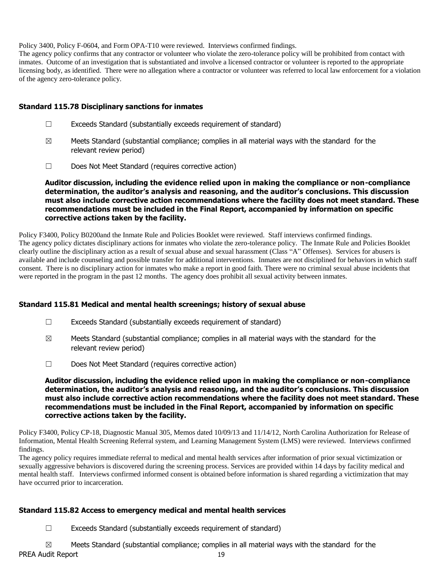Policy 3400, Policy F-0604, and Form OPA-T10 were reviewed. Interviews confirmed findings.

The agency policy confirms that any contractor or volunteer who violate the zero-tolerance policy will be prohibited from contact with inmates. Outcome of an investigation that is substantiated and involve a licensed contractor or volunteer is reported to the appropriate licensing body, as identified. There were no allegation where a contractor or volunteer was referred to local law enforcement for a violation of the agency zero-tolerance policy.

## **Standard 115.78 Disciplinary sanctions for inmates**

- ☐ Exceeds Standard (substantially exceeds requirement of standard)
- $\boxtimes$  Meets Standard (substantial compliance; complies in all material ways with the standard for the relevant review period)
- ☐ Does Not Meet Standard (requires corrective action)

**Auditor discussion, including the evidence relied upon in making the compliance or non-compliance determination, the auditor's analysis and reasoning, and the auditor's conclusions. This discussion must also include corrective action recommendations where the facility does not meet standard. These recommendations must be included in the Final Report, accompanied by information on specific corrective actions taken by the facility.**

Policy F3400, Policy B0200and the Inmate Rule and Policies Booklet were reviewed. Staff interviews confirmed findings. The agency policy dictates disciplinary actions for inmates who violate the zero-tolerance policy. The Inmate Rule and Policies Booklet clearly outline the disciplinary action as a result of sexual abuse and sexual harassment (Class "A" Offenses). Services for abusers is available and include counseling and possible transfer for additional interventions. Inmates are not disciplined for behaviors in which staff consent. There is no disciplinary action for inmates who make a report in good faith. There were no criminal sexual abuse incidents that were reported in the program in the past 12 months. The agency does prohibit all sexual activity between inmates.

## **Standard 115.81 Medical and mental health screenings; history of sexual abuse**

- ☐ Exceeds Standard (substantially exceeds requirement of standard)
- $\boxtimes$  Meets Standard (substantial compliance; complies in all material ways with the standard for the relevant review period)
- ☐ Does Not Meet Standard (requires corrective action)

#### **Auditor discussion, including the evidence relied upon in making the compliance or non-compliance determination, the auditor's analysis and reasoning, and the auditor's conclusions. This discussion must also include corrective action recommendations where the facility does not meet standard. These recommendations must be included in the Final Report, accompanied by information on specific corrective actions taken by the facility.**

Policy F3400, Policy CP-18, Diagnostic Manual 305, Memos dated 10/09/13 and 11/14/12, North Carolina Authorization for Release of Information, Mental Health Screening Referral system, and Learning Management System (LMS) were reviewed. Interviews confirmed findings.

The agency policy requires immediate referral to medical and mental health services after information of prior sexual victimization or sexually aggressive behaviors is discovered during the screening process. Services are provided within 14 days by facility medical and mental health staff. Interviews confirmed informed consent is obtained before information is shared regarding a victimization that may have occurred prior to incarceration.

## **Standard 115.82 Access to emergency medical and mental health services**

☐ Exceeds Standard (substantially exceeds requirement of standard)

PREA Audit Report 19  $\boxtimes$  Meets Standard (substantial compliance; complies in all material ways with the standard for the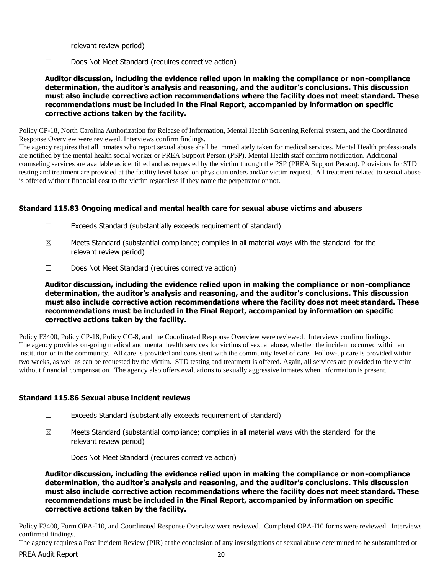relevant review period)

☐ Does Not Meet Standard (requires corrective action)

**Auditor discussion, including the evidence relied upon in making the compliance or non-compliance determination, the auditor's analysis and reasoning, and the auditor's conclusions. This discussion must also include corrective action recommendations where the facility does not meet standard. These recommendations must be included in the Final Report, accompanied by information on specific corrective actions taken by the facility.**

Policy CP-18, North Carolina Authorization for Release of Information, Mental Health Screening Referral system, and the Coordinated Response Overview were reviewed. Interviews confirm findings.

The agency requires that all inmates who report sexual abuse shall be immediately taken for medical services. Mental Health professionals are notified by the mental health social worker or PREA Support Person (PSP). Mental Health staff confirm notification. Additional counseling services are available as identified and as requested by the victim through the PSP (PREA Support Person). Provisions for STD testing and treatment are provided at the facility level based on physician orders and/or victim request. All treatment related to sexual abuse is offered without financial cost to the victim regardless if they name the perpetrator or not.

#### **Standard 115.83 Ongoing medical and mental health care for sexual abuse victims and abusers**

- ☐ Exceeds Standard (substantially exceeds requirement of standard)
- $\boxtimes$  Meets Standard (substantial compliance; complies in all material ways with the standard for the relevant review period)
- ☐ Does Not Meet Standard (requires corrective action)

**Auditor discussion, including the evidence relied upon in making the compliance or non-compliance determination, the auditor's analysis and reasoning, and the auditor's conclusions. This discussion must also include corrective action recommendations where the facility does not meet standard. These recommendations must be included in the Final Report, accompanied by information on specific corrective actions taken by the facility.**

Policy F3400, Policy CP-18, Policy CC-8, and the Coordinated Response Overview were reviewed. Interviews confirm findings. The agency provides on-going medical and mental health services for victims of sexual abuse, whether the incident occurred within an institution or in the community. All care is provided and consistent with the community level of care. Follow-up care is provided within two weeks, as well as can be requested by the victim. STD testing and treatment is offered. Again, all services are provided to the victim without financial compensation. The agency also offers evaluations to sexually aggressive inmates when information is present.

#### **Standard 115.86 Sexual abuse incident reviews**

- $\Box$  Exceeds Standard (substantially exceeds requirement of standard)
- $\boxtimes$  Meets Standard (substantial compliance; complies in all material ways with the standard for the relevant review period)
- ☐ Does Not Meet Standard (requires corrective action)

**Auditor discussion, including the evidence relied upon in making the compliance or non-compliance determination, the auditor's analysis and reasoning, and the auditor's conclusions. This discussion must also include corrective action recommendations where the facility does not meet standard. These recommendations must be included in the Final Report, accompanied by information on specific corrective actions taken by the facility.**

Policy F3400, Form OPA-I10, and Coordinated Response Overview were reviewed. Completed OPA-I10 forms were reviewed. Interviews confirmed findings.

PREA Audit Report 20 The agency requires a Post Incident Review (PIR) at the conclusion of any investigations of sexual abuse determined to be substantiated or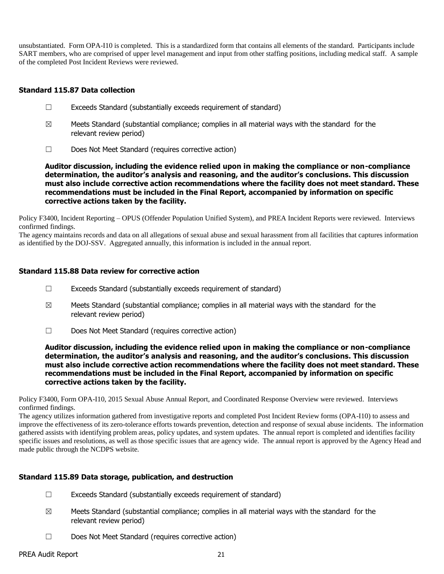unsubstantiated. Form OPA-I10 is completed. This is a standardized form that contains all elements of the standard. Participants include SART members, who are comprised of upper level management and input from other staffing positions, including medical staff. A sample of the completed Post Incident Reviews were reviewed.

#### **Standard 115.87 Data collection**

- ☐ Exceeds Standard (substantially exceeds requirement of standard)
- $\boxtimes$  Meets Standard (substantial compliance; complies in all material ways with the standard for the relevant review period)
- ☐ Does Not Meet Standard (requires corrective action)

**Auditor discussion, including the evidence relied upon in making the compliance or non-compliance determination, the auditor's analysis and reasoning, and the auditor's conclusions. This discussion must also include corrective action recommendations where the facility does not meet standard. These recommendations must be included in the Final Report, accompanied by information on specific corrective actions taken by the facility.**

Policy F3400, Incident Reporting – OPUS (Offender Population Unified System), and PREA Incident Reports were reviewed. Interviews confirmed findings.

The agency maintains records and data on all allegations of sexual abuse and sexual harassment from all facilities that captures information as identified by the DOJ-SSV. Aggregated annually, this information is included in the annual report.

#### **Standard 115.88 Data review for corrective action**

- $\Box$  Exceeds Standard (substantially exceeds requirement of standard)
- $\boxtimes$  Meets Standard (substantial compliance; complies in all material ways with the standard for the relevant review period)
- ☐ Does Not Meet Standard (requires corrective action)

**Auditor discussion, including the evidence relied upon in making the compliance or non-compliance determination, the auditor's analysis and reasoning, and the auditor's conclusions. This discussion must also include corrective action recommendations where the facility does not meet standard. These recommendations must be included in the Final Report, accompanied by information on specific corrective actions taken by the facility.**

Policy F3400, Form OPA-I10, 2015 Sexual Abuse Annual Report, and Coordinated Response Overview were reviewed. Interviews confirmed findings.

The agency utilizes information gathered from investigative reports and completed Post Incident Review forms (OPA-I10) to assess and improve the effectiveness of its zero-tolerance efforts towards prevention, detection and response of sexual abuse incidents. The information gathered assists with identifying problem areas, policy updates, and system updates. The annual report is completed and identifies facility specific issues and resolutions, as well as those specific issues that are agency wide. The annual report is approved by the Agency Head and made public through the NCDPS website.

## **Standard 115.89 Data storage, publication, and destruction**

- $\Box$  Exceeds Standard (substantially exceeds requirement of standard)
- $\boxtimes$  Meets Standard (substantial compliance; complies in all material ways with the standard for the relevant review period)
- ☐ Does Not Meet Standard (requires corrective action)